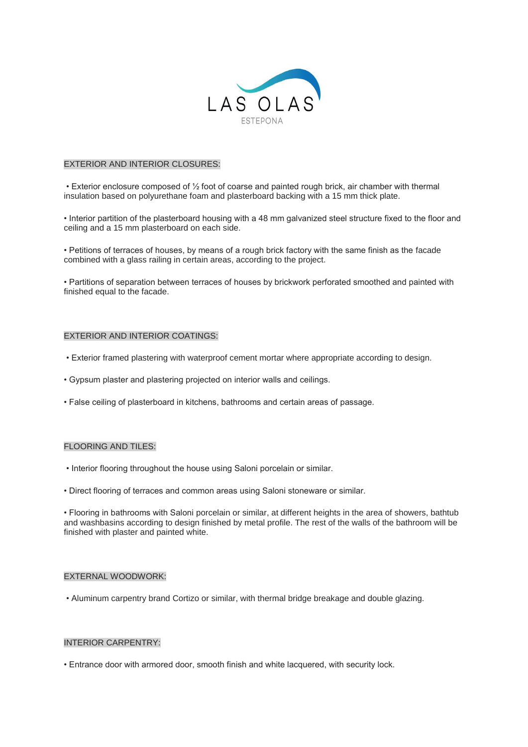

# EXTERIOR AND INTERIOR CLOSURES:

• Exterior enclosure composed of ½ foot of coarse and painted rough brick, air chamber with thermal insulation based on polyurethane foam and plasterboard backing with a 15 mm thick plate.

• Interior partition of the plasterboard housing with a 48 mm galvanized steel structure fixed to the floor and ceiling and a 15 mm plasterboard on each side.

• Petitions of terraces of houses, by means of a rough brick factory with the same finish as the facade combined with a glass railing in certain areas, according to the project.

• Partitions of separation between terraces of houses by brickwork perforated smoothed and painted with finished equal to the facade.

#### EXTERIOR AND INTERIOR COATINGS:

- Exterior framed plastering with waterproof cement mortar where appropriate according to design.
- Gypsum plaster and plastering projected on interior walls and ceilings.
- False ceiling of plasterboard in kitchens, bathrooms and certain areas of passage.

#### FLOORING AND TILES:

- Interior flooring throughout the house using Saloni porcelain or similar.
- Direct flooring of terraces and common areas using Saloni stoneware or similar.

• Flooring in bathrooms with Saloni porcelain or similar, at different heights in the area of showers, bathtub and washbasins according to design finished by metal profile. The rest of the walls of the bathroom will be finished with plaster and painted white.

#### EXTERNAL WOODWORK:

• Aluminum carpentry brand Cortizo or similar, with thermal bridge breakage and double glazing.

#### INTERIOR CARPENTRY:

• Entrance door with armored door, smooth finish and white lacquered, with security lock.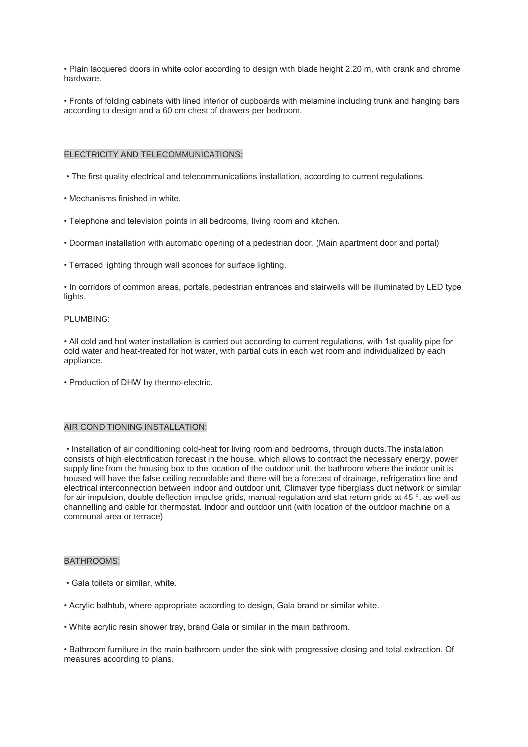• Plain lacquered doors in white color according to design with blade height 2.20 m, with crank and chrome hardware.

• Fronts of folding cabinets with lined interior of cupboards with melamine including trunk and hanging bars according to design and a 60 cm chest of drawers per bedroom.

#### ELECTRICITY AND TELECOMMUNICATIONS:

- The first quality electrical and telecommunications installation, according to current regulations.
- Mechanisms finished in white.
- Telephone and television points in all bedrooms, living room and kitchen.
- Doorman installation with automatic opening of a pedestrian door. (Main apartment door and portal)
- Terraced lighting through wall sconces for surface lighting.

• In corridors of common areas, portals, pedestrian entrances and stairwells will be illuminated by LED type lights.

#### PLUMBING:

• All cold and hot water installation is carried out according to current regulations, with 1st quality pipe for cold water and heat-treated for hot water, with partial cuts in each wet room and individualized by each appliance.

• Production of DHW by thermo-electric.

#### AIR CONDITIONING INSTALLATION:

• Installation of air conditioning cold-heat for living room and bedrooms, through ducts.The installation consists of high electrification forecast in the house, which allows to contract the necessary energy, power supply line from the housing box to the location of the outdoor unit, the bathroom where the indoor unit is housed will have the false ceiling recordable and there will be a forecast of drainage, refrigeration line and electrical interconnection between indoor and outdoor unit, Climaver type fiberglass duct network or similar for air impulsion, double deflection impulse grids, manual regulation and slat return grids at 45 °, as well as channelling and cable for thermostat. Indoor and outdoor unit (with location of the outdoor machine on a communal area or terrace)

#### BATHROOMS:

- Gala toilets or similar, white.
- Acrylic bathtub, where appropriate according to design, Gala brand or similar white.
- White acrylic resin shower tray, brand Gala or similar in the main bathroom.

• Bathroom furniture in the main bathroom under the sink with progressive closing and total extraction. Of measures according to plans.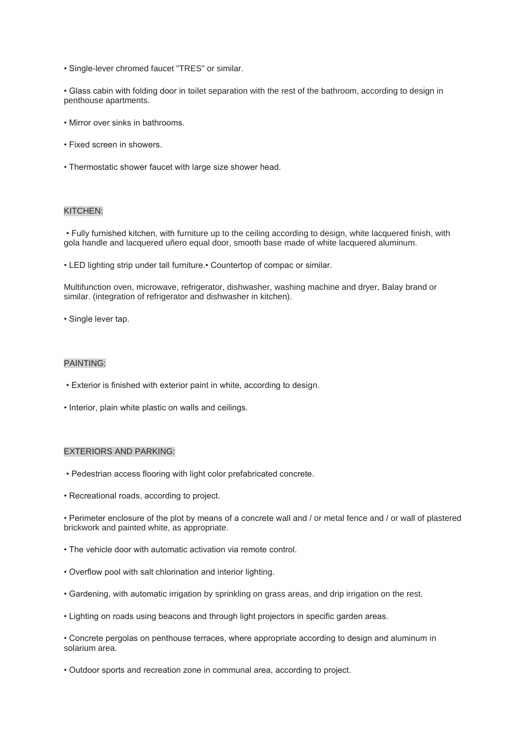• Single-lever chromed faucet "TRES" or similar.

• Glass cabin with folding door in toilet separation with the rest of the bathroom, according to design in penthouse apartments.

- Mirror over sinks in bathrooms.
- Fixed screen in showers.
- Thermostatic shower faucet with large size shower head.

#### KITCHEN:

• Fully furnished kitchen, with furniture up to the ceiling according to design, white lacquered finish, with gola handle and lacquered uñero equal door, smooth base made of white lacquered aluminum.

• LED lighting strip under tall furniture.• Countertop of compac or similar.

Multifunction oven, microwave, refrigerator, dishwasher, washing machine and dryer, Balay brand or similar. (integration of refrigerator and dishwasher in kitchen).

• Single lever tap.

## PAINTING:

- Exterior is finished with exterior paint in white, according to design.
- Interior, plain white plastic on walls and ceilings.

## EXTERIORS AND PARKING:

- Pedestrian access flooring with light color prefabricated concrete.
- Recreational roads, according to project.

• Perimeter enclosure of the plot by means of a concrete wall and / or metal fence and / or wall of plastered brickwork and painted white, as appropriate.

- The vehicle door with automatic activation via remote control.
- Overflow pool with salt chlorination and interior lighting.
- Gardening, with automatic irrigation by sprinkling on grass areas, and drip irrigation on the rest.
- Lighting on roads using beacons and through light projectors in specific garden areas.

• Concrete pergolas on penthouse terraces, where appropriate according to design and aluminum in solarium area.

• Outdoor sports and recreation zone in communal area, according to project.